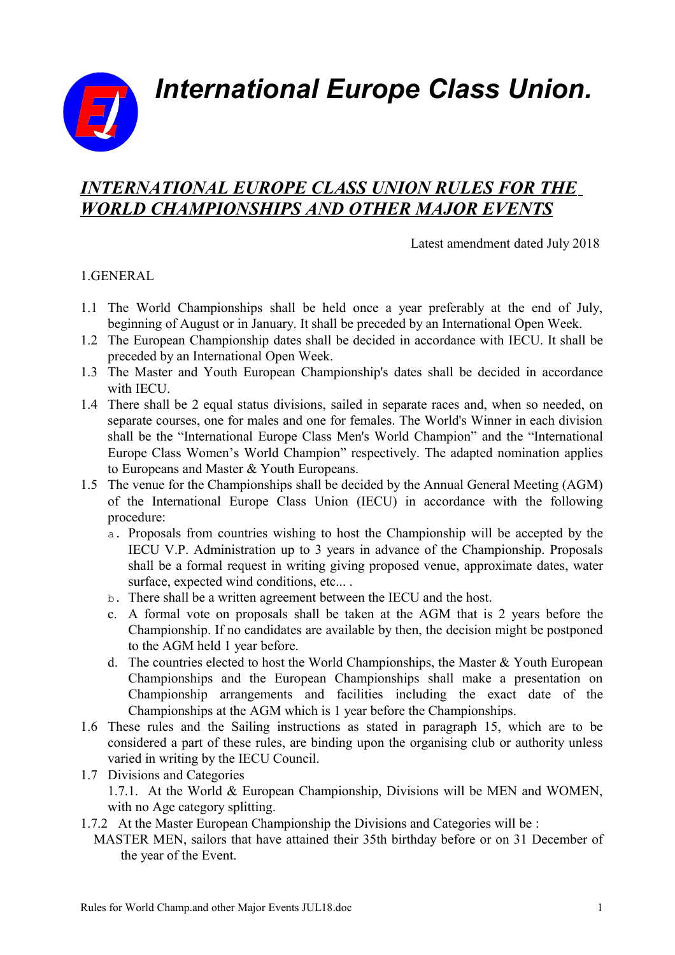*International Europe Class Union.*



# *INTERNATIONAL EUROPE CLASS UNION RULES FOR THE WORLD CHAMPIONSHIPS AND OTHER MAJOR EVENTS*

Latest amendment dated July 2018

## 1.GENERAL

- 1.1 The World Championships shall be held once a year preferably at the end of July, beginning of August or in January. It shall be preceded by an International Open Week.
- 1.2 The European Championship dates shall be decided in accordance with IECU. It shall be preceded by an International Open Week.
- 1.3 The Master and Youth European Championship's dates shall be decided in accordance with IECU.
- 1.4 There shall be 2 equal status divisions, sailed in separate races and, when so needed, on separate courses, one for males and one for females. The World's Winner in each division shall be the "International Europe Class Men's World Champion" and the "International Europe Class Women's World Champion" respectively. The adapted nomination applies to Europeans and Master & Youth Europeans.
- 1.5 The venue for the Championships shall be decided by the Annual General Meeting (AGM) of the International Europe Class Union (IECU) in accordance with the following procedure:
	- a. Proposals from countries wishing to host the Championship will be accepted by the IECU V.P. Administration up to 3 years in advance of the Championship. Proposals shall be a formal request in writing giving proposed venue, approximate dates, water surface, expected wind conditions, etc... .
	- b. There shall be a written agreement between the IECU and the host.
	- c. A formal vote on proposals shall be taken at the AGM that is 2 years before the Championship. If no candidates are available by then, the decision might be postponed to the AGM held 1 year before.
	- d. The countries elected to host the World Championships, the Master & Youth European Championships and the European Championships shall make a presentation on Championship arrangements and facilities including the exact date of the Championships at the AGM which is 1 year before the Championships.
- 1.6 These rules and the Sailing instructions as stated in paragraph 15, which are to be considered a part of these rules, are binding upon the organising club or authority unless varied in writing by the IECU Council.
- 1.7 Divisions and Categories 1.7.1. At the World & European Championship, Divisions will be MEN and WOMEN, with no Age category splitting.
- 1.7.2 At the Master European Championship the Divisions and Categories will be :
- MASTER MEN, sailors that have attained their 35th birthday before or on 31 December of the year of the Event.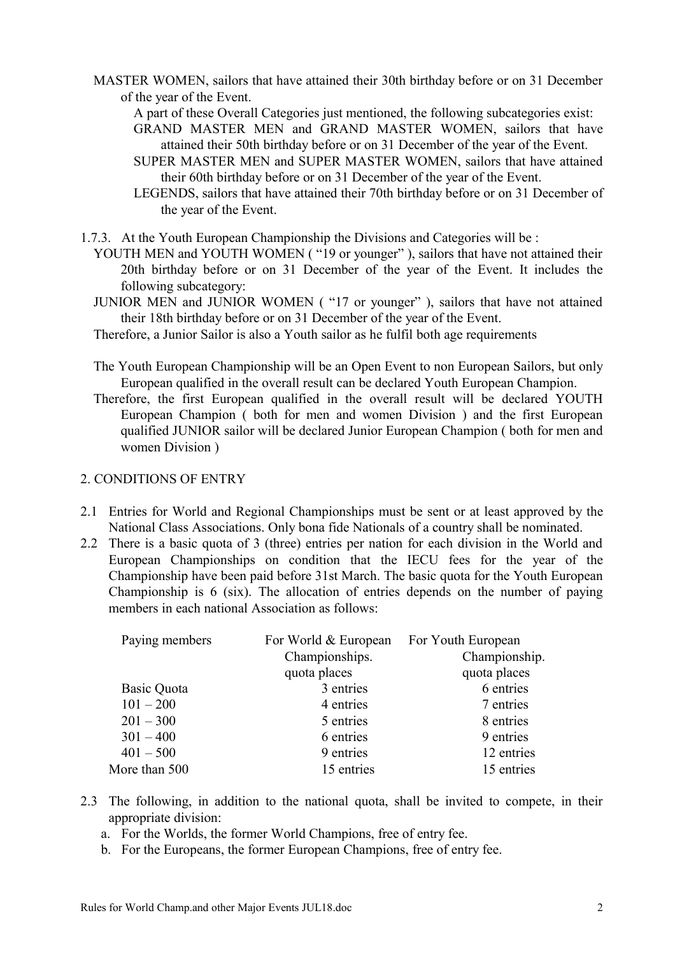- MASTER WOMEN, sailors that have attained their 30th birthday before or on 31 December of the year of the Event.
	- A part of these Overall Categories just mentioned, the following subcategories exist:
	- GRAND MASTER MEN and GRAND MASTER WOMEN, sailors that have attained their 50th birthday before or on 31 December of the year of the Event.
	- SUPER MASTER MEN and SUPER MASTER WOMEN, sailors that have attained their 60th birthday before or on 31 December of the year of the Event.
	- LEGENDS, sailors that have attained their 70th birthday before or on 31 December of the year of the Event.
- 1.7.3. At the Youth European Championship the Divisions and Categories will be :
	- YOUTH MEN and YOUTH WOMEN ("19 or younger"), sailors that have not attained their 20th birthday before or on 31 December of the year of the Event. It includes the following subcategory:
	- JUNIOR MEN and JUNIOR WOMEN ( "17 or younger" ), sailors that have not attained their 18th birthday before or on 31 December of the year of the Event.
	- Therefore, a Junior Sailor is also a Youth sailor as he fulfil both age requirements
	- The Youth European Championship will be an Open Event to non European Sailors, but only European qualified in the overall result can be declared Youth European Champion.
	- Therefore, the first European qualified in the overall result will be declared YOUTH European Champion ( both for men and women Division ) and the first European qualified JUNIOR sailor will be declared Junior European Champion ( both for men and women Division )

#### 2. CONDITIONS OF ENTRY

- 2.1 Entries for World and Regional Championships must be sent or at least approved by the National Class Associations. Only bona fide Nationals of a country shall be nominated.
- 2.2 There is a basic quota of 3 (three) entries per nation for each division in the World and European Championships on condition that the IECU fees for the year of the Championship have been paid before 31st March. The basic quota for the Youth European Championship is 6 (six). The allocation of entries depends on the number of paying members in each national Association as follows:

| For World & European | For Youth European |
|----------------------|--------------------|
| Championships.       | Championship.      |
| quota places         | quota places       |
| 3 entries            | 6 entries          |
| 4 entries            | 7 entries          |
| 5 entries            | 8 entries          |
| 6 entries            | 9 entries          |
| 9 entries            | 12 entries         |
| 15 entries           | 15 entries         |
|                      |                    |

- 2.3 The following, in addition to the national quota, shall be invited to compete, in their appropriate division:
	- a. For the Worlds, the former World Champions, free of entry fee.
	- b. For the Europeans, the former European Champions, free of entry fee.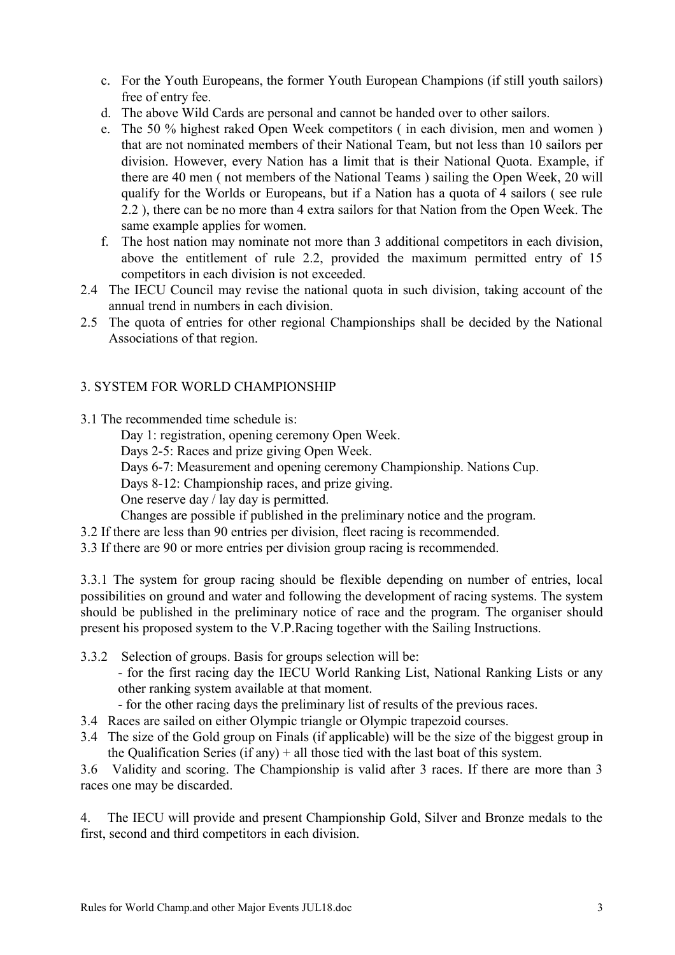- c. For the Youth Europeans, the former Youth European Champions (if still youth sailors) free of entry fee.
- d. The above Wild Cards are personal and cannot be handed over to other sailors.
- e. The 50 % highest raked Open Week competitors ( in each division, men and women ) that are not nominated members of their National Team, but not less than 10 sailors per division. However, every Nation has a limit that is their National Quota. Example, if there are 40 men ( not members of the National Teams ) sailing the Open Week, 20 will qualify for the Worlds or Europeans, but if a Nation has a quota of 4 sailors ( see rule 2.2 ), there can be no more than 4 extra sailors for that Nation from the Open Week. The same example applies for women.
- f. The host nation may nominate not more than 3 additional competitors in each division, above the entitlement of rule 2.2, provided the maximum permitted entry of 15 competitors in each division is not exceeded.
- 2.4 The IECU Council may revise the national quota in such division, taking account of the annual trend in numbers in each division.
- 2.5 The quota of entries for other regional Championships shall be decided by the National Associations of that region.

## 3. SYSTEM FOR WORLD CHAMPIONSHIP

3.1 The recommended time schedule is:

Day 1: registration, opening ceremony Open Week.

Days 2-5: Races and prize giving Open Week.

Days 6-7: Measurement and opening ceremony Championship. Nations Cup.

Days 8-12: Championship races, and prize giving.

One reserve day / lay day is permitted.

Changes are possible if published in the preliminary notice and the program.

- 3.2 If there are less than 90 entries per division, fleet racing is recommended.
- 3.3 If there are 90 or more entries per division group racing is recommended.

3.3.1 The system for group racing should be flexible depending on number of entries, local possibilities on ground and water and following the development of racing systems. The system should be published in the preliminary notice of race and the program. The organiser should present his proposed system to the V.P.Racing together with the Sailing Instructions.

- 3.3.2 Selection of groups. Basis for groups selection will be:
	- for the first racing day the IECU World Ranking List, National Ranking Lists or any other ranking system available at that moment.
	- for the other racing days the preliminary list of results of the previous races.
- 3.4 Races are sailed on either Olympic triangle or Olympic trapezoid courses.
- 3.4 The size of the Gold group on Finals (if applicable) will be the size of the biggest group in the Qualification Series (if any)  $+$  all those tied with the last boat of this system.

3.6 Validity and scoring. The Championship is valid after 3 races. If there are more than 3 races one may be discarded.

4. The IECU will provide and present Championship Gold, Silver and Bronze medals to the first, second and third competitors in each division.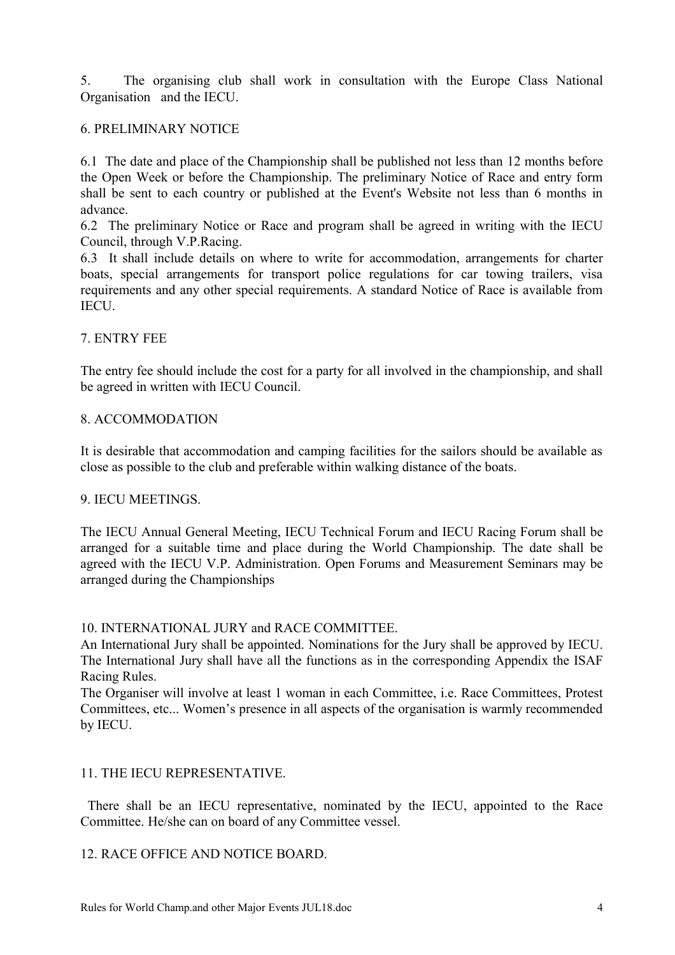5. The organising club shall work in consultation with the Europe Class National Organisation and the IECU.

## 6. PRELIMINARY NOTICE

6.1 The date and place of the Championship shall be published not less than 12 months before the Open Week or before the Championship. The preliminary Notice of Race and entry form shall be sent to each country or published at the Event's Website not less than 6 months in advance.

6.2 The preliminary Notice or Race and program shall be agreed in writing with the IECU Council, through V.P.Racing.

6.3 It shall include details on where to write for accommodation, arrangements for charter boats, special arrangements for transport police regulations for car towing trailers, visa requirements and any other special requirements. A standard Notice of Race is available from **IECU** 

## 7. ENTRY FEE

The entry fee should include the cost for a party for all involved in the championship, and shall be agreed in written with IECU Council.

#### 8. ACCOMMODATION

It is desirable that accommodation and camping facilities for the sailors should be available as close as possible to the club and preferable within walking distance of the boats.

#### 9. IECU MEETINGS.

The IECU Annual General Meeting, IECU Technical Forum and IECU Racing Forum shall be arranged for a suitable time and place during the World Championship. The date shall be agreed with the IECU V.P. Administration. Open Forums and Measurement Seminars may be arranged during the Championships

#### 10. INTERNATIONAL JURY and RACE COMMITTEE.

An International Jury shall be appointed. Nominations for the Jury shall be approved by IECU. The International Jury shall have all the functions as in the corresponding Appendix the ISAF Racing Rules.

The Organiser will involve at least 1 woman in each Committee, i.e. Race Committees, Protest Committees, etc... Women's presence in all aspects of the organisation is warmly recommended by IECU.

#### 11. THE IECU REPRESENTATIVE.

There shall be an IECU representative, nominated by the IECU, appointed to the Race Committee. He/she can on board of any Committee vessel.

#### 12. RACE OFFICE AND NOTICE BOARD.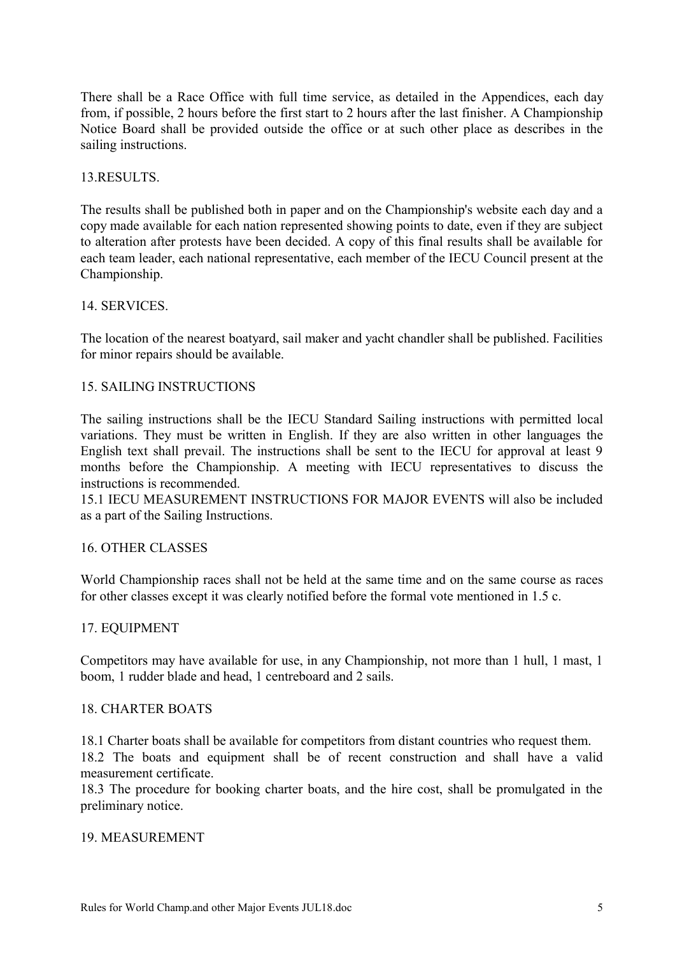There shall be a Race Office with full time service, as detailed in the Appendices, each day from, if possible, 2 hours before the first start to 2 hours after the last finisher. A Championship Notice Board shall be provided outside the office or at such other place as describes in the sailing instructions.

#### 13.RESULTS.

The results shall be published both in paper and on the Championship's website each day and a copy made available for each nation represented showing points to date, even if they are subject to alteration after protests have been decided. A copy of this final results shall be available for each team leader, each national representative, each member of the IECU Council present at the Championship.

## 14. SERVICES.

The location of the nearest boatyard, sail maker and yacht chandler shall be published. Facilities for minor repairs should be available.

## 15. SAILING INSTRUCTIONS

The sailing instructions shall be the IECU Standard Sailing instructions with permitted local variations. They must be written in English. If they are also written in other languages the English text shall prevail. The instructions shall be sent to the IECU for approval at least 9 months before the Championship. A meeting with IECU representatives to discuss the instructions is recommended.

15.1 IECU MEASUREMENT INSTRUCTIONS FOR MAJOR EVENTS will also be included as a part of the Sailing Instructions.

#### 16. OTHER CLASSES

World Championship races shall not be held at the same time and on the same course as races for other classes except it was clearly notified before the formal vote mentioned in 1.5 c.

#### 17. EQUIPMENT

Competitors may have available for use, in any Championship, not more than 1 hull, 1 mast, 1 boom, 1 rudder blade and head, 1 centreboard and 2 sails.

#### 18. CHARTER BOATS

18.1 Charter boats shall be available for competitors from distant countries who request them.

18.2 The boats and equipment shall be of recent construction and shall have a valid measurement certificate.

18.3 The procedure for booking charter boats, and the hire cost, shall be promulgated in the preliminary notice.

#### 19. MEASUREMENT